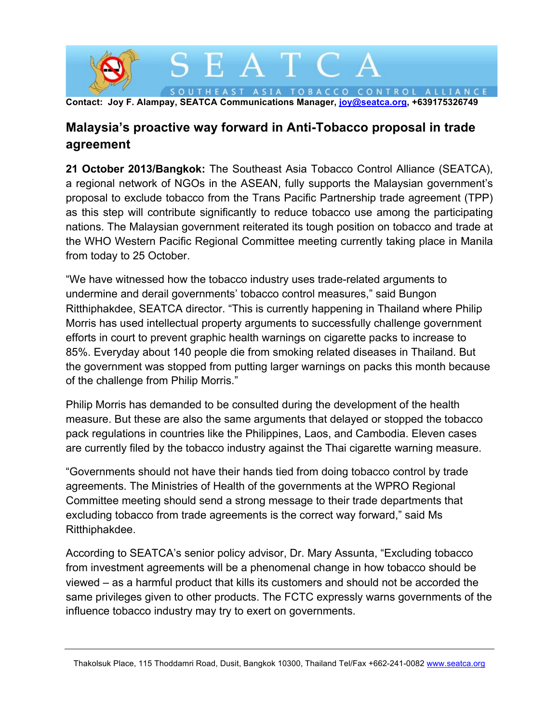

## **Malaysia's proactive way forward in Anti-Tobacco proposal in trade agreement**

**21 October 2013/Bangkok:** The Southeast Asia Tobacco Control Alliance (SEATCA), a regional network of NGOs in the ASEAN, fully supports the Malaysian government's proposal to exclude tobacco from the Trans Pacific Partnership trade agreement (TPP) as this step will contribute significantly to reduce tobacco use among the participating nations. The Malaysian government reiterated its tough position on tobacco and trade at the WHO Western Pacific Regional Committee meeting currently taking place in Manila from today to 25 October.

"We have witnessed how the tobacco industry uses trade-related arguments to undermine and derail governments' tobacco control measures," said Bungon Ritthiphakdee, SEATCA director. "This is currently happening in Thailand where Philip Morris has used intellectual property arguments to successfully challenge government efforts in court to prevent graphic health warnings on cigarette packs to increase to 85%. Everyday about 140 people die from smoking related diseases in Thailand. But the government was stopped from putting larger warnings on packs this month because of the challenge from Philip Morris."

Philip Morris has demanded to be consulted during the development of the health measure. But these are also the same arguments that delayed or stopped the tobacco pack regulations in countries like the Philippines, Laos, and Cambodia. Eleven cases are currently filed by the tobacco industry against the Thai cigarette warning measure.

"Governments should not have their hands tied from doing tobacco control by trade agreements. The Ministries of Health of the governments at the WPRO Regional Committee meeting should send a strong message to their trade departments that excluding tobacco from trade agreements is the correct way forward," said Ms Ritthiphakdee.

According to SEATCA's senior policy advisor, Dr. Mary Assunta, "Excluding tobacco from investment agreements will be a phenomenal change in how tobacco should be viewed – as a harmful product that kills its customers and should not be accorded the same privileges given to other products. The FCTC expressly warns governments of the influence tobacco industry may try to exert on governments.

Thakolsuk Place, 115 Thoddamri Road, Dusit, Bangkok 10300, Thailand Tel/Fax +662-241-0082 www.seatca.org